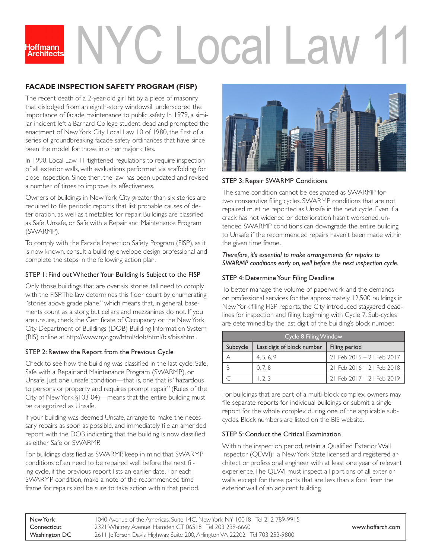# 'C I ocal La loffmann

## **FACADE INSPECTION SAFETY PROGRAM (FISP)**

The recent death of a 2-year-old girl hit by a piece of masonry that dislodged from an eighth-story windowsill underscored the importance of facade maintenance to public safety. In 1979, a similar incident left a Barnard College student dead and prompted the enactment of New York City Local Law 10 of 1980, the first of a series of groundbreaking facade safety ordinances that have since been the model for those in other major cities.

In 1998, Local Law 11 tightened regulations to require inspection of all exterior walls, with evaluations performed via scaffolding for close inspection. Since then, the law has been updated and revised a number of times to improve its effectiveness.

Owners of buildings in New York City greater than six stories are required to file periodic reports that list probable causes of deterioration, as well as timetables for repair. Buildings are classified as Safe, Unsafe, or Safe with a Repair and Maintenance Program (SWARMP).

To comply with the Facade Inspection Safety Program (FISP), as it is now known, consult a building envelope design professional and complete the steps in the following action plan.

#### STEP 1: Find out Whether Your Building Is Subject to the FISP

Only those buildings that are over six stories tall need to comply with the FISP. The law determines this floor count by enumerating "stories above grade plane," which means that, in general, basements count as a story, but cellars and mezzanines do not. If you are unsure, check the Certificate of Occupancy or the New York City Department of Buildings (DOB) Building Information System (BIS) online at http://www.nyc.gov/html/dob/html/bis/bis.shtml.

#### STEP 2: Review the Report from the Previous Cycle

Check to see how the building was classified in the last cycle: Safe, Safe with a Repair and Maintenance Program (SWARMP), or Unsafe. Just one unsafe condition—that is, one that is "hazardous to persons or property and requires prompt repair" (Rules of the City of New York §103-04)—means that the entire building must be categorized as Unsafe.

If your building was deemed Unsafe, arrange to make the necessary repairs as soon as possible, and immediately file an amended report with the DOB indicating that the building is now classified as either Safe or SWARMP.

For buildings classified as SWARMP, keep in mind that SWARMP conditions often need to be repaired well before the next filing cycle, if the previous report lists an earlier date. For each SWARMP condition, make a note of the recommended time frame for repairs and be sure to take action within that period.



## STEP 3: Repair SWARMP Conditions

The same condition cannot be designated as SWARMP for two consecutive filing cycles. SWARMP conditions that are not repaired must be reported as Unsafe in the next cycle. Even if a crack has not widened or deterioration hasn't worsened, untended SWARMP conditions can downgrade the entire building to Unsafe if the recommended repairs haven't been made within the given time frame.

*Therefore, it's essential to make arrangements for repairs to SWARMP conditions early on, well before the next inspection cycle.*

## STEP 4: Determine Your Filing Deadline

To better manage the volume of paperwork and the demands on professional services for the approximately 12,500 buildings in New York filing FISP reports, the City introduced staggered deadlines for inspection and filing, beginning with Cycle 7. Sub-cycles are determined by the last digit of the building's block number.

| Cycle 8 Filing Window |                            |                                 |  |
|-----------------------|----------------------------|---------------------------------|--|
| Subcycle              | Last digit of block number | Filing period                   |  |
|                       | 4, 5, 6, 9                 | 21 Feb 2015 - 21 Feb 2017       |  |
| B                     | 0.7.8                      | $21$ Feb $2016 - 21$ Feb $2018$ |  |
|                       | 1, 2, 3                    | 21 Feb 2017 - 21 Feb 2019       |  |

For buildings that are part of a multi-block complex, owners may file separate reports for individual buildings or submit a single report for the whole complex during one of the applicable subcycles. Block numbers are listed on the BIS website.

## STEP 5: Conduct the Critical Examination

Within the inspection period, retain a Qualified Exterior Wall Inspector (QEWI): a New York State licensed and registered architect or professional engineer with at least one year of relevant experience. The QEWI must inspect all portions of all exterior walls, except for those parts that are less than a foot from the exterior wall of an adjacent building.

| New York      | 1040 Avenue of the Americas, Suite 14C, New York NY 10018 Tel 212 789-9915   |                  |
|---------------|------------------------------------------------------------------------------|------------------|
| Connecticut   | 2321 Whitney Avenue, Hamden CT 06518 Tel 203 239-6660                        | www.hoffarch.com |
| Washington DC | 2611 Jefferson Davis Highway, Suite 200, Arlington VA 22202 Tel 703 253-9800 |                  |